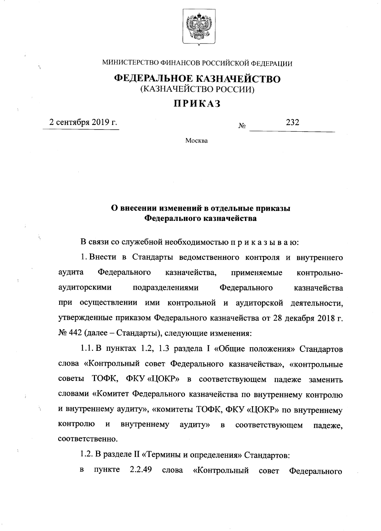

МИНИСТЕРСТВО ФИНАНСОВ РОССИЙСКОЙ ФЕДЕРАЦИИ

## ФЕДЕРАЛЬНОЕ КАЗНАЧЕЙСТВО (КАЗНАЧЕЙСТВО РОССИИ)

## **ПРИКАЗ**

2 сентября 2019 г.

Ä

232  $N_2$ 

Москва

## О внесении изменений в отдельные приказы Федерального казначейства

В связи со служебной необходимостью приказываю:

1. Внести в Стандарты ведомственного контроля и внутреннего Федерального аудита казначейства, применяемые контрольноаудиторскими подразделениями Федерального казначейства при осуществлении ими контрольной и аудиторской деятельности, утвержденные приказом Федерального казначейства от 28 декабря 2018 г. № 442 (далее – Стандарты), следующие изменения:

1.1. В пунктах 1.2, 1.3 раздела I «Общие положения» Стандартов слова «Контрольный совет Федерального казначейства», «контрольные советы ТОФК, ФКУ «ЦОКР» в соответствующем падеже заменить словами «Комитет Федерального казначейства по внутреннему контролю и внутреннему аудиту», «комитеты ТОФК, ФКУ «ЦОКР» по внутреннему контролю  $\mathbf{H}$ внутреннему аудиту»  $\mathbf{B}$ соответствующем падеже, соответственно.

1.2. В разделе II «Термины и определения» Стандартов:

2.2.49  $\bf{B}$ пункте слова «Контрольный совет Федерального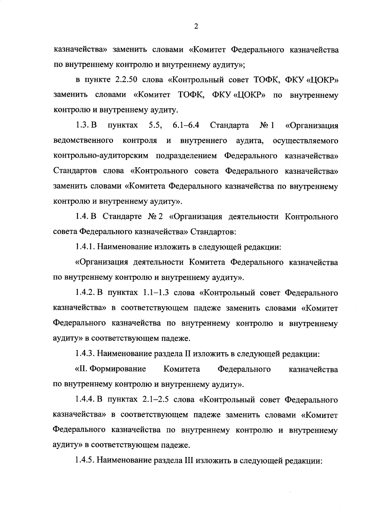казначейства» заменить словами «Комитет Федерального казначейства по внутреннему контролю и внутреннему аудиту»;

в пункте 2.2.50 слова «Контрольный совет ТОФК, ФКУ «ЦОКР» заменить словами «Комитет ТОФК, ФКУ «ЦОКР» по внутреннему контролю и внутреннему аудиту.

 $1.3. B$ пунктах  $5.5,$  $6.1 - 6.4$ Стандарта  $N_2$  1 «Организация ведомственного контроля и внутреннего аудита, осуществляемого контрольно-аудиторским подразделением Федерального казначейства» Стандартов слова «Контрольного совета Федерального казначейства» заменить словами «Комитета Федерального казначейства по внутреннему контролю и внутреннему аудиту».

1.4. В Стандарте № 2 «Организация деятельности Контрольного совета Федерального казначейства» Стандартов:

1.4.1. Наименование изложить в следующей редакции:

«Организация деятельности Комитета Федерального казначейства по внутреннему контролю и внутреннему аудиту».

1.4.2. В пунктах 1.1-1.3 слова «Контрольный совет Федерального казначейства» в соответствующем падеже заменить словами «Комитет Федерального казначейства по внутреннему контролю и внутреннему аудиту» в соответствующем падеже.

1.4.3. Наименование раздела II изложить в следующей редакции:

«II. Формирование Комитета Федерального казначейства по внутреннему контролю и внутреннему аудиту».

1.4.4. В пунктах 2.1-2.5 слова «Контрольный совет Федерального казначейства» в соответствующем падеже заменить словами «Комитет Федерального казначейства по внутреннему контролю и внутреннему аудиту» в соответствующем падеже.

1.4.5. Наименование раздела III изложить в следующей редакции: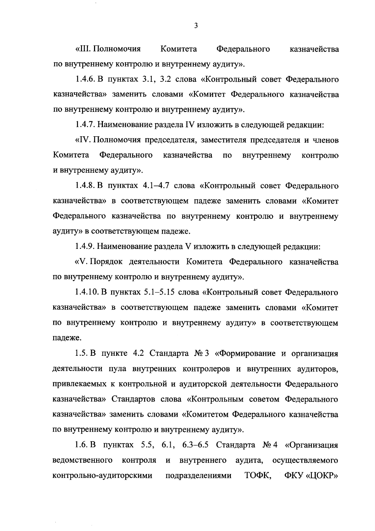«III. Полномочия Комитета Федерального казначейства по внутреннему контролю и внутреннему аудиту».

1.4.6. В пунктах 3.1, 3.2 слова «Контрольный совет Федерального казначейства» заменить словами «Комитет Федерального казначейства по внутреннему контролю и внутреннему аудиту».

1.4.7. Наименование раздела IV изложить в следующей редакции:

«IV. Полномочия председателя, заместителя председателя и членов Федерального Комитета казначейства  $\overline{a}$ внутреннему контролю и внутреннему аудиту».

1.4.8. В пунктах 4.1-4.7 слова «Контрольный совет Федерального казначейства» в соответствующем падеже заменить словами «Комитет Федерального казначейства по внутреннему контролю и внутреннему аудиту» в соответствующем падеже.

1.4.9. Наименование раздела V изложить в следующей редакции:

«V. Порядок деятельности Комитета Федерального казначейства по внутреннему контролю и внутреннему аудиту».

1.4.10. В пунктах 5.1–5.15 слова «Контрольный совет Федерального казначейства» в соответствующем падеже заменить словами «Комитет по внутреннему контролю и внутреннему аудиту» в соответствующем падеже.

1.5. В пункте 4.2 Стандарта № 3 «Формирование и организация деятельности пула внутренних контролеров и внутренних аудиторов, привлекаемых к контрольной и аудиторской деятельности Федерального казначейства» Стандартов слова «Контрольным советом Федерального казначейства» заменить словами «Комитетом Федерального казначейства по внутреннему контролю и внутреннему аудиту».

1.6. В пунктах 5.5, 6.1, 6.3-6.5 Стандарта № 4 «Организация ведомственного контроля и внутреннего аудита, осуществляемого контрольно-аудиторскими ТОФК, ФКУ «ЦОКР» подразделениями

 $\overline{3}$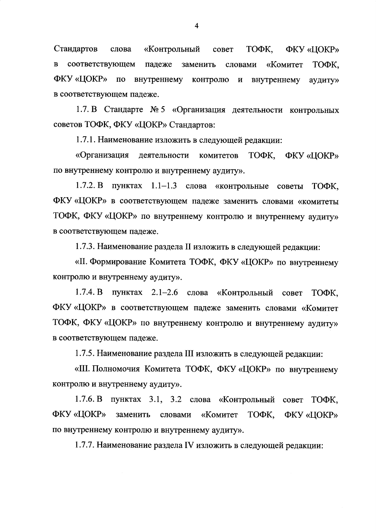Стандартов «Контрольный ТОФК, ФКУ «ЦОКР» слова совет соответствующем падеже  $\mathbf{B}$ заменить словами «Комитет ТОФК. ФКУ «ЦОКР» по внутреннему контролю внутреннему  $\boldsymbol{\mathrm{M}}$ аудиту» в соответствующем падеже.

1.7. В Стандарте № 5 «Организация деятельности контрольных советов ТОФК, ФКУ «ЦОКР» Стандартов:

1.7.1. Наименование изложить в следующей редакции:

«Организация деятельности комитетов ТОФК. ФКУ «ЦОКР» по внутреннему контролю и внутреннему аудиту».

1.7.2. В пунктах 1.1-1.3 слова «контрольные советы ТОФК. ФКУ «ЦОКР» в соответствующем падеже заменить словами «комитеты ТОФК, ФКУ «ЦОКР» по внутреннему контролю и внутреннему аудиту» в соответствующем падеже.

1.7.3. Наименование раздела II изложить в следующей редакции:

«II. Формирование Комитета ТОФК, ФКУ «ЦОКР» по внутреннему контролю и внутреннему аудиту».

1.7.4. В пунктах 2.1–2.6 слова «Контрольный совет ТОФК, ФКУ «ЦОКР» в соответствующем падеже заменить словами «Комитет ТОФК, ФКУ «ЦОКР» по внутреннему контролю и внутреннему аудиту» в соответствующем падеже.

1.7.5. Наименование раздела III изложить в следующей редакции:

«III. Полномочия Комитета ТОФК, ФКУ «ЦОКР» по внутреннему контролю и внутреннему аудиту».

1.7.6. В пунктах 3.1, 3.2 слова «Контрольный совет ТОФК, ФКУ «ЦОКР» словами «Комитет ТОФК, заменить ФКУ «ЦОКР» по внутреннему контролю и внутреннему аудиту».

1.7.7. Наименование раздела IV изложить в следующей редакции:

 $\overline{4}$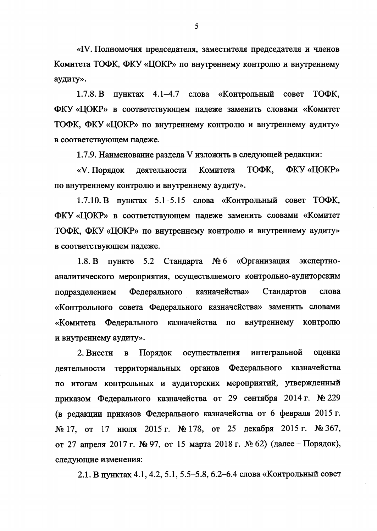«IV. Полномочия председателя, заместителя председателя и членов Комитета ТОФК, ФКУ «ЦОКР» по внутреннему контролю и внутреннему аудиту».

1.7.8. В пунктах 4.1-4.7 слова «Контрольный совет ТОФК. ФКУ «ЦОКР» в соответствующем падеже заменить словами «Комитет ТОФК, ФКУ «ЦОКР» по внутреннему контролю и внутреннему аудиту» в соответствующем падеже.

1.7.9. Наименование раздела V изложить в следующей редакции:

ТОФК, **ФКУ «ЦОКР»** «V. Порядок деятельности Комитета по внутреннему контролю и внутреннему аудиту».

1.7.10. В пунктах 5.1-5.15 слова «Контрольный совет ТОФК, ФКУ «ЦОКР» в соответствующем падеже заменить словами «Комитет ТОФК, ФКУ «ЦОКР» по внутреннему контролю и внутреннему аудиту» в соответствующем падеже.

Стандарта № 6 «Организация  $1.8. B$ пункте 5.2 экспертноаналитического мероприятия, осуществляемого контрольно-аудиторским казначейства» Федерального Стандартов слова подразделением «Контрольного совета Федерального казначейства» заменить словами «Комитета Федерального казначейства внутреннему контролю  $\mathbf{u}$ и внутреннему аудиту».

интегральной 2. Внести  $\overline{B}$ Порядок осуществления оценки казначейства деятельности территориальных органов Федерального по итогам контрольных и аудиторских мероприятий, утвержденный приказом Федерального казначейства от 29 сентября 2014 г. № 229 (в редакции приказов Федерального казначейства от 6 февраля 2015 г. № 17, от 17 июля 2015 г. № 178, от 25 декабря 2015 г. № 367, от 27 апреля 2017 г. № 97, от 15 марта 2018 г. № 62) (далее – Порядок), следующие изменения:

2.1. В пунктах 4.1, 4.2, 5.1, 5.5-5.8, 6.2-6.4 слова «Контрольный совет

5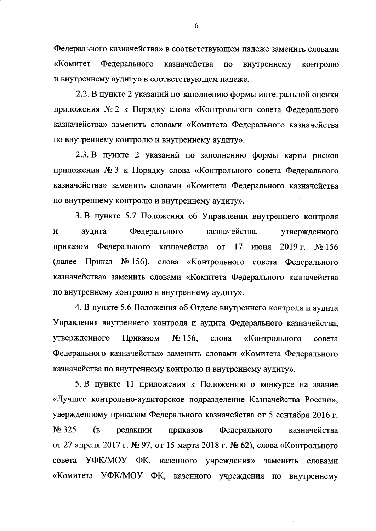Федерального казначейства» в соответствующем падеже заменить словами «Комитет Федерального казначейства  $\overline{a}$ внутреннему контролю и внутреннему аудиту» в соответствующем падеже.

2.2. В пункте 2 указаний по заполнению формы интегральной оценки приложения № 2 к Порядку слова «Контрольного совета Федерального казначейства» заменить словами «Комитета Федерального казначейства по внутреннему контролю и внутреннему аудиту».

2.3. В пункте 2 указаний по заполнению формы карты рисков приложения № 3 к Порядку слова «Контрольного совета Федерального казначейства» заменить словами «Комитета Федерального казначейства по внутреннему контролю и внутреннему аудиту».

3. В пункте 5.7 Положения об Управлении внутреннего контроля аудита Федерального казначейства, И утвержденного Федерального казначейства от приказом 17 июня  $2019$  r.  $\mathbb{N}^{\circ}$  156 (далее – Приказ № 156), слова «Контрольного совета Федерального казначейства» заменить словами «Комитета Федерального казначейства по внутреннему контролю и внутреннему аудиту».

4. В пункте 5.6 Положения об Отделе внутреннего контроля и аудита Управления внутреннего контроля и аудита Федерального казначейства, утвержденного Приказом  $N<sub>2</sub>$  156. слова «Контрольного совета Федерального казначейства» заменить словами «Комитета Федерального казначейства по внутреннему контролю и внутреннему аудиту».

5. В пункте 11 приложения к Положению о конкурсе на звание «Лучшее контрольно-аудиторское подразделение Казначейства России», увержденному приказом Федерального казначейства от 5 сентября 2016 г. No 325 приказов (B редакции Федерального казначейства от 27 апреля 2017 г. № 97, от 15 марта 2018 г. № 62), слова «Контрольного совета УФК/МОУ ФК, казенного учреждения» заменить словами «Комитета УФК/МОУ ФК, казенного учреждения по внутреннему

6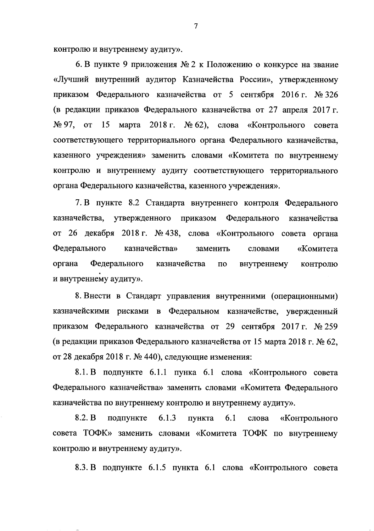контролю и внутреннему аудиту».

6. В пункте 9 приложения № 2 к Положению о конкурсе на звание «Лучший внутренний аудитор Казначейства России», утвержденному приказом Федерального казначейства от 5 сентября 2016 г. № 326 (в редакции приказов Федерального казначейства от 27 апреля 2017 г.  $N_2$  97, or 15 марта 2018 г.  $N_2$  62), слова «Контрольного совета соответствующего территориального органа Федерального казначейства, казенного учреждения» заменить словами «Комитета по внутреннему контролю и внутреннему аудиту соответствующего территориального органа Федерального казначейства, казенного учреждения».

7. В пункте 8.2 Стандарта внутреннего контроля Федерального казначейства, утвержденного приказом Федерального казначейства от 26 декабря 2018 г. № 438, слова «Контрольного совета органа Федерального казначейства» заменить «Комитета словами Федерального казначейства органа  $\Pi$ <sup>o</sup> внутреннему контролю и внутреннему аудиту».

8. Внести в Стандарт управления внутренними (операционными) казначейскими рисками в Федеральном казначействе, увержденный приказом Федерального казначейства от 29 сентября 2017 г. № 259 (в редакции приказов Федерального казначейства от 15 марта 2018 г. № 62, от 28 декабря 2018 г. № 440), следующие изменения:

8.1. В подпункте 6.1.1 пунка 6.1 слова «Контрольного совета Федерального казначейства» заменить словами «Комитета Федерального казначейства по внутреннему контролю и внутреннему аудиту».

8.2. B подпункте 6.1.3 пункта 6.1 «Контрольного слова совета ТОФК» заменить словами «Комитета ТОФК по внутреннему контролю и внутреннему аудиту».

8.3. В подпункте 6.1.5 пункта 6.1 слова «Контрольного совета

 $\overline{7}$